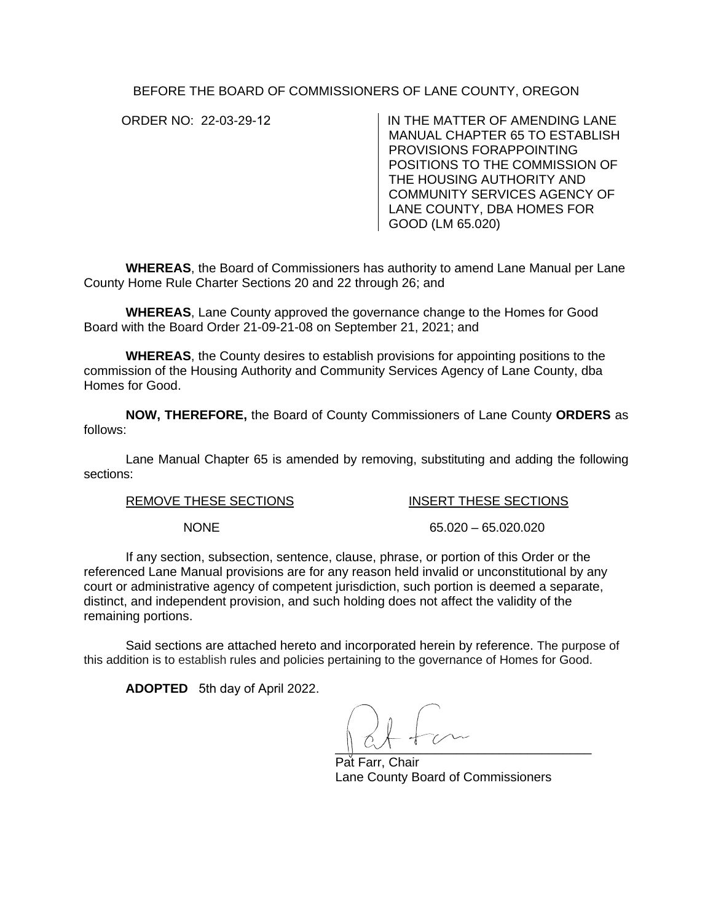BEFORE THE BOARD OF COMMISSIONERS OF LANE COUNTY, OREGON

ORDER NO: 22-03-29-12 IN THE MATTER OF AMENDING LANE MANUAL CHAPTER 65 TO ESTABLISH PROVISIONS FORAPPOINTING POSITIONS TO THE COMMISSION OF THE HOUSING AUTHORITY AND COMMUNITY SERVICES AGENCY OF LANE COUNTY, DBA HOMES FOR GOOD (LM 65.020)

**WHEREAS**, the Board of Commissioners has authority to amend Lane Manual per Lane County Home Rule Charter Sections 20 and 22 through 26; and

**WHEREAS**, Lane County approved the governance change to the Homes for Good Board with the Board Order 21-09-21-08 on September 21, 2021; and

**WHEREAS**, the County desires to establish provisions for appointing positions to the commission of the Housing Authority and Community Services Agency of Lane County, dba Homes for Good.

**NOW, THEREFORE,** the Board of County Commissioners of Lane County **ORDERS** as follows:

Lane Manual Chapter 65 is amended by removing, substituting and adding the following sections:

REMOVE THESE SECTIONS **INSERT THESE SECTIONS** 

NONE 65.020 – 65.020.020

If any section, subsection, sentence, clause, phrase, or portion of this Order or the referenced Lane Manual provisions are for any reason held invalid or unconstitutional by any court or administrative agency of competent jurisdiction, such portion is deemed a separate, distinct, and independent provision, and such holding does not affect the validity of the remaining portions.

Said sections are attached hereto and incorporated herein by reference. The purpose of this addition is to establish rules and policies pertaining to the governance of Homes for Good.

**ADOPTED** 5th day of April 2022.

 $\frac{1}{2}$ 

Pat Farr, Chair Lane County Board of Commissioners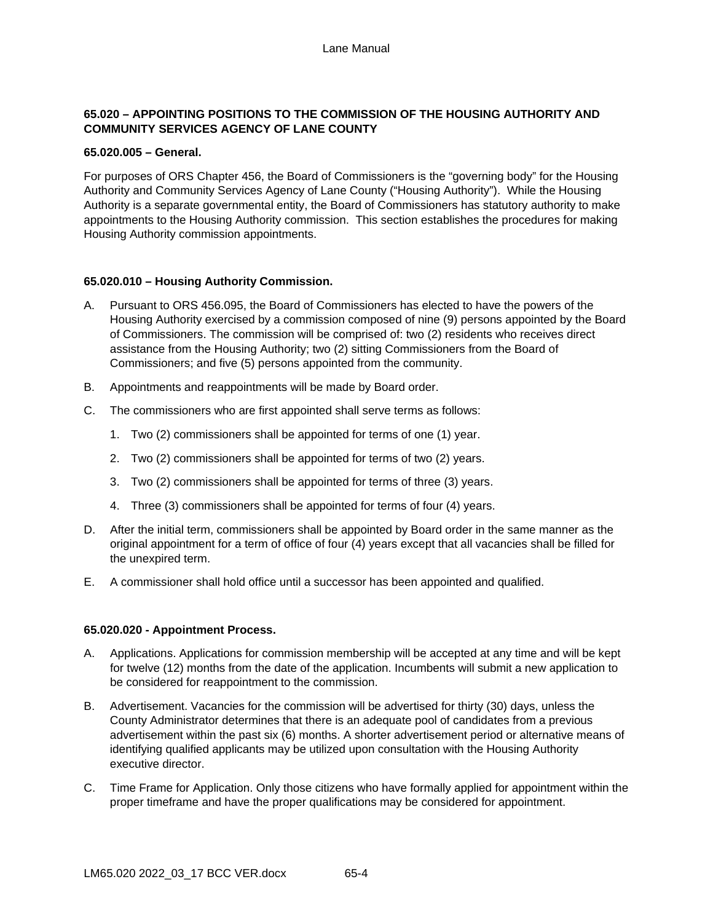# **65.020 – APPOINTING POSITIONS TO THE COMMISSION OF THE HOUSING AUTHORITY AND COMMUNITY SERVICES AGENCY OF LANE COUNTY**

## **65.020.005 – General.**

For purposes of ORS Chapter 456, the Board of Commissioners is the "governing body" for the Housing Authority and Community Services Agency of Lane County ("Housing Authority"). While the Housing Authority is a separate governmental entity, the Board of Commissioners has statutory authority to make appointments to the Housing Authority commission. This section establishes the procedures for making Housing Authority commission appointments.

## **65.020.010 – Housing Authority Commission.**

- A. Pursuant to ORS 456.095, the Board of Commissioners has elected to have the powers of the Housing Authority exercised by a commission composed of nine (9) persons appointed by the Board of Commissioners. The commission will be comprised of: two (2) residents who receives direct assistance from the Housing Authority; two (2) sitting Commissioners from the Board of Commissioners; and five (5) persons appointed from the community.
- B. Appointments and reappointments will be made by Board order.
- C. The commissioners who are first appointed shall serve terms as follows:
	- 1. Two (2) commissioners shall be appointed for terms of one (1) year.
	- 2. Two (2) commissioners shall be appointed for terms of two (2) years.
	- 3. Two (2) commissioners shall be appointed for terms of three (3) years.
	- 4. Three (3) commissioners shall be appointed for terms of four (4) years.
- D. After the initial term, commissioners shall be appointed by Board order in the same manner as the original appointment for a term of office of four (4) years except that all vacancies shall be filled for the unexpired term.
- E. A commissioner shall hold office until a successor has been appointed and qualified.

## **65.020.020 - Appointment Process.**

- A. Applications. Applications for commission membership will be accepted at any time and will be kept for twelve (12) months from the date of the application. Incumbents will submit a new application to be considered for reappointment to the commission.
- B. Advertisement. Vacancies for the commission will be advertised for thirty (30) days, unless the County Administrator determines that there is an adequate pool of candidates from a previous advertisement within the past six (6) months. A shorter advertisement period or alternative means of identifying qualified applicants may be utilized upon consultation with the Housing Authority executive director.
- C. Time Frame for Application. Only those citizens who have formally applied for appointment within the proper timeframe and have the proper qualifications may be considered for appointment.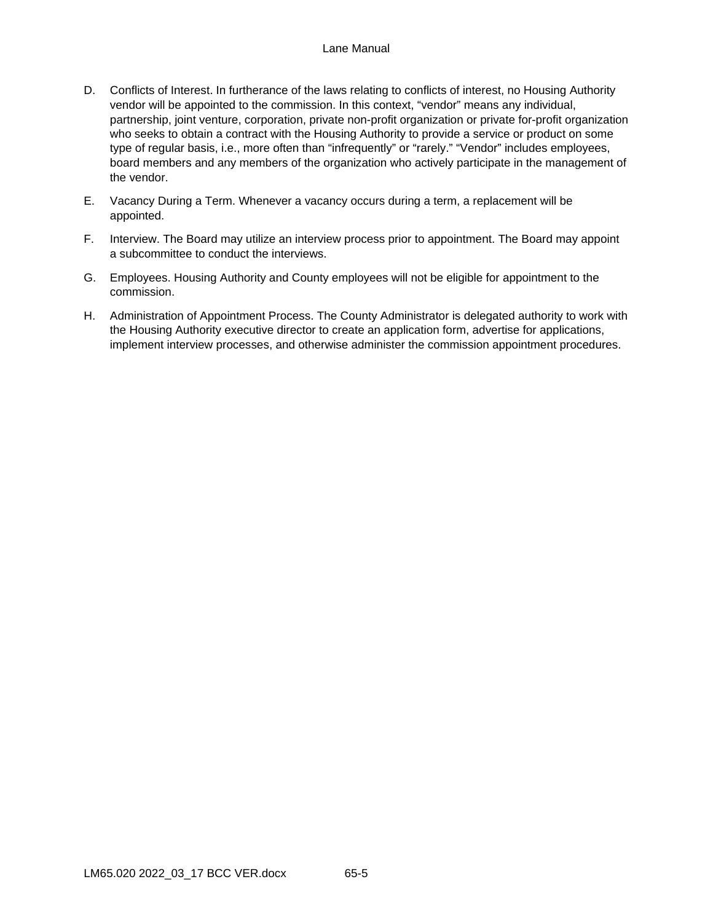## Lane Manual

- D. Conflicts of Interest. In furtherance of the laws relating to conflicts of interest, no Housing Authority vendor will be appointed to the commission. In this context, "vendor" means any individual, partnership, joint venture, corporation, private non-profit organization or private for-profit organization who seeks to obtain a contract with the Housing Authority to provide a service or product on some type of regular basis, i.e., more often than "infrequently" or "rarely." "Vendor" includes employees, board members and any members of the organization who actively participate in the management of the vendor.
- E. Vacancy During a Term. Whenever a vacancy occurs during a term, a replacement will be appointed.
- F. Interview. The Board may utilize an interview process prior to appointment. The Board may appoint a subcommittee to conduct the interviews.
- G. Employees. Housing Authority and County employees will not be eligible for appointment to the commission.
- H. Administration of Appointment Process. The County Administrator is delegated authority to work with the Housing Authority executive director to create an application form, advertise for applications, implement interview processes, and otherwise administer the commission appointment procedures.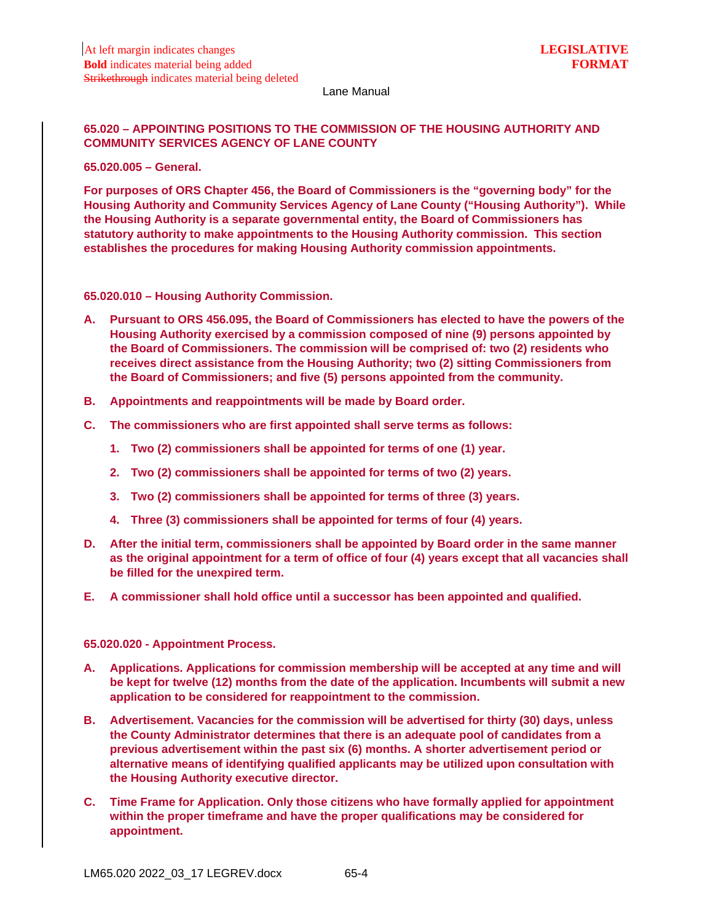#### Lane Manual

# **65.020 – APPOINTING POSITIONS TO THE COMMISSION OF THE HOUSING AUTHORITY AND COMMUNITY SERVICES AGENCY OF LANE COUNTY**

**65.020.005 – General.**

**For purposes of ORS Chapter 456, the Board of Commissioners is the "governing body" for the Housing Authority and Community Services Agency of Lane County ("Housing Authority"). While the Housing Authority is a separate governmental entity, the Board of Commissioners has statutory authority to make appointments to the Housing Authority commission. This section establishes the procedures for making Housing Authority commission appointments.**

**65.020.010 – Housing Authority Commission.**

- **A. Pursuant to ORS 456.095, the Board of Commissioners has elected to have the powers of the Housing Authority exercised by a commission composed of nine (9) persons appointed by the Board of Commissioners. The commission will be comprised of: two (2) residents who receives direct assistance from the Housing Authority; two (2) sitting Commissioners from the Board of Commissioners; and five (5) persons appointed from the community.**
- **B. Appointments and reappointments will be made by Board order.**
- **C. The commissioners who are first appointed shall serve terms as follows:**
	- **1. Two (2) commissioners shall be appointed for terms of one (1) year.**
	- **2. Two (2) commissioners shall be appointed for terms of two (2) years.**
	- **3. Two (2) commissioners shall be appointed for terms of three (3) years.**
	- **4. Three (3) commissioners shall be appointed for terms of four (4) years.**
- **D. After the initial term, commissioners shall be appointed by Board order in the same manner as the original appointment for a term of office of four (4) years except that all vacancies shall be filled for the unexpired term.**
- **E. A commissioner shall hold office until a successor has been appointed and qualified.**

#### **65.020.020 - Appointment Process.**

- **A. Applications. Applications for commission membership will be accepted at any time and will be kept for twelve (12) months from the date of the application. Incumbents will submit a new application to be considered for reappointment to the commission.**
- **B. Advertisement. Vacancies for the commission will be advertised for thirty (30) days, unless the County Administrator determines that there is an adequate pool of candidates from a previous advertisement within the past six (6) months. A shorter advertisement period or alternative means of identifying qualified applicants may be utilized upon consultation with the Housing Authority executive director.**
- **C. Time Frame for Application. Only those citizens who have formally applied for appointment within the proper timeframe and have the proper qualifications may be considered for appointment.**